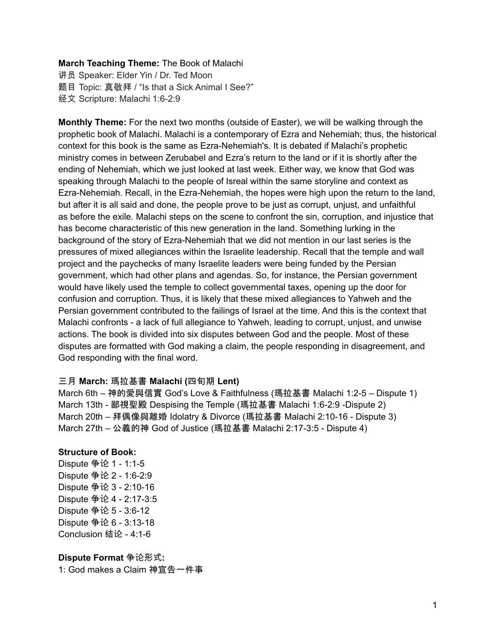#### **March Teaching Theme:** The Book of Malachi

讲员 Speaker: Elder Yin / Dr. Ted Moon 题目 Topic: 真敬拜 / "Is that a Sick Animal I See?" 经文 Scripture: Malachi 1:6-2:9

**Monthly Theme:** For the next two months (outside of Easter), we will be walking through the prophetic book of Malachi. Malachi is a contemporary of Ezra and Nehemiah; thus, the historical context for this book is the same as Ezra-Nehemiah's. It is debated if Malachi's prophetic ministry comes in between Zerubabel and Ezra's return to the land or if it is shortly after the ending of Nehemiah, which we just looked at last week. Either way, we know that God was speaking through Malachi to the people of Isreal within the same storyline and context as Ezra-Nehemiah. Recall, in the Ezra-Nehemiah, the hopes were high upon the return to the land, but after it is all said and done, the people prove to be just as corrupt, unjust, and unfaithful as before the exile. Malachi steps on the scene to confront the sin, corruption, and injustice that has become characteristic of this new generation in the land. Something lurking in the background of the story of Ezra-Nehemiah that we did not mention in our last series is the pressures of mixed allegiances within the Israelite leadership. Recall that the temple and wall project and the paychecks of many Israelite leaders were being funded by the Persian government, which had other plans and agendas. So, for instance, the Persian government would have likely used the temple to collect governmental taxes, opening up the door for confusion and corruption. Thus, it is likely that these mixed allegiances to Yahweh and the Persian government contributed to the failings of Israel at the time. And this is the context that Malachi confronts - a lack of full allegiance to Yahweh, leading to corrupt, unjust, and unwise actions. The book is divided into six disputes between God and the people. Most of these disputes are formatted with God making a claim, the people responding in disagreement, and God responding with the final word.

### 三月 **March:** 瑪拉基書 **Malachi (**四旬期 **Lent)**

March 6th – 神的愛與信實 God's Love & Faithfulness (瑪拉基書 Malachi 1:2-5 – Dispute 1) March 13th - 鄙視聖殿 Despising the Temple (瑪拉基書 Malachi 1:6-2:9 -Dispute 2) March 20th – 拜偶像與離婚 Idolatry & Divorce (瑪拉基書 Malachi 2:10-16 - Dispute 3) March 27th – 公義的神 God of Justice (瑪拉基書 Malachi 2:17-3:5 - Dispute 4)

### **Structure of Book:**

Dispute 争论 1 - 1:1-5 Dispute 争论 2 - 1:6-2:9 Dispute 争论 3 - 2:10-16 Dispute 争论 4 - 2:17-3:5 Dispute 争论 5 - 3:6-12 Dispute 争论 6 - 3:13-18 Conclusion 结论 - 4:1-6

**Dispute Format** 争论形式**:** 1: God makes a Claim 神宣告一件事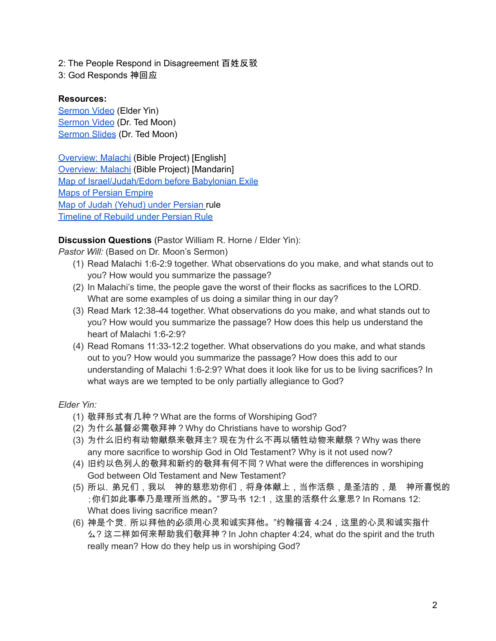2: The People Respond in Disagreement 百姓反驳

3: God Responds 神回应

# **Resources:**

[Sermon](https://www.youtube.com/watch?v=4gmuBCCQquo) Video (Elder Yin) [Sermon](https://www.youtube.com/watch?v=m4GtiGNYD0E) Video (Dr. Ted Moon) [Sermon](https://docs.google.com/presentation/d/1nWx0zkncLSMWsqtqG0Jkisp5Z4Nbww0E/edit?usp=sharing&ouid=111022305003760555164&rtpof=true&sd=true) Slides (Dr. Ted Moon)

[Overview:](https://bibleproject.com/explore/video/malachi/) Malachi (Bible Project) [English] [Overview:](https://www.youtube.com/watch?v=8T57vKj-Ix8&list=PLE-R0uydm0uN0xKD3tw0aheiQojlf1JB1&index=29) Malachi (Bible Project) [Mandarin] Map of [Israel/Judah/Edom](https://docs.google.com/presentation/d/1tFqR--i8vR65UNcydtMDcN0P1IocObGP6zsQPzodJvg/edit?usp=sharing) before Babylonian Exile Maps of [Persian](https://docs.google.com/presentation/d/1etJFccQZX3MryDbRrS1s5n6bjpYFgUOYwQ4VQG_JuV4/edit?usp=sharing) Empire Map of Judah [\(Yehud\)](https://docs.google.com/presentation/d/1B-jPxAPFXvR-dkqLLivyckb0uZtp_PYXSNJsG_iepRA/edit?usp=sharing) under Persian rule [Timeline](https://docs.google.com/presentation/d/1pivSiquO322iIeBUBqD0yGXiqO8ft5FlPvqLRck4eek/edit?usp=sharing) of Rebuild under Persian Rule

**Discussion Questions** (Pastor William R. Horne / Elder Yin):

*Pastor Will:* (Based on Dr. Moon's Sermon)

- (1) Read Malachi 1:6-2:9 together. What observations do you make, and what stands out to you? How would you summarize the passage?
- (2) In Malachi's time, the people gave the worst of their flocks as sacrifices to the LORD. What are some examples of us doing a similar thing in our day?
- (3) Read Mark 12:38-44 together. What observations do you make, and what stands out to you? How would you summarize the passage? How does this help us understand the heart of Malachi 1:6-2:9?
- (4) Read Romans 11:33-12:2 together. What observations do you make, and what stands out to you? How would you summarize the passage? How does this add to our understanding of Malachi 1:6-2:9? What does it look like for us to be living sacrifices? In what ways are we tempted to be only partially allegiance to God?

## *Elder Yin:*

- (1) 敬拜形式有几种?What are the forms of Worshiping God?
- (2) 为什么基督必需敬拜神?Why do Christians have to worship God?
- (3) 为什么旧约有动物献祭来敬拜主? 现在为什么不再以牺牲动物来献祭?Why was there any more sacrifice to worship God in Old Testament? Why is it not used now?
- (4) 旧约以色列人的敬拜和新约的敬拜有何不同?What were the differences in worshiping God between Old Testament and New Testament?
- (5) 所以,弟兄们,我以 神的慈悲劝你们,将身体献上,当作活祭,是圣洁的,是 神所喜悦的 ;你们如此事奉乃是理所当然的。"罗马书 12:1,这里的活祭什么意思? In Romans 12: What does living sacrifice mean?
- (6) 神是个灵,所以拜他的必须用心灵和诚实拜他。"约翰福音 4:24,这里的心灵和诚实指什 么? 这二样如何来帮助我们敬拜神?In John chapter 4:24, what do the spirit and the truth really mean? How do they help us in worshiping God?